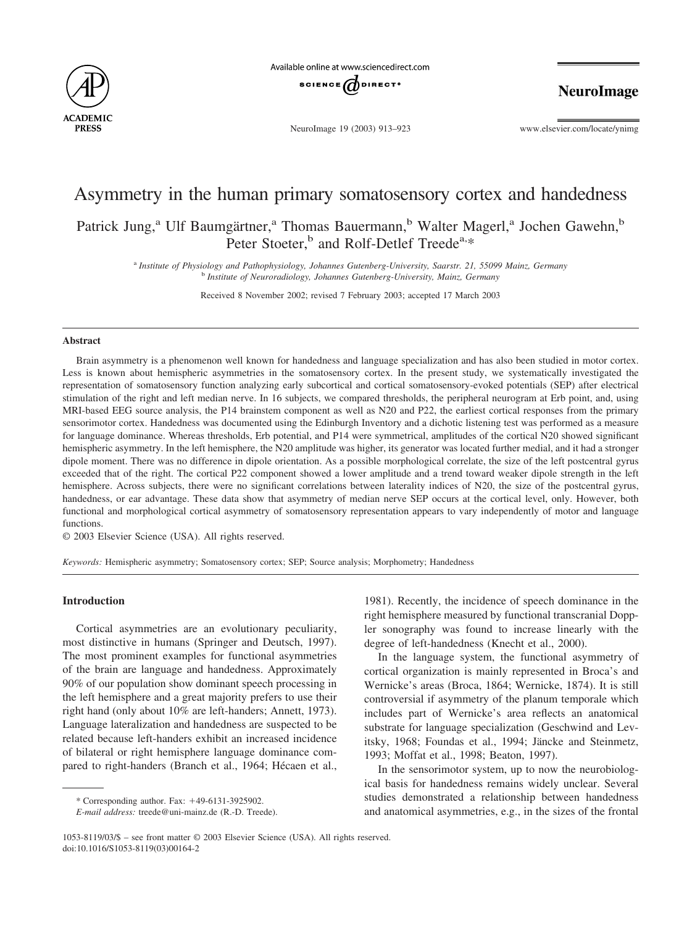



NeuroImage 19 (2003) 913–923 www.elsevier.com/locate/ynimg

**NeuroImage** 

# Asymmetry in the human primary somatosensory cortex and handedness

Patrick Jung,<sup>a</sup> Ulf Baumgärtner,<sup>a</sup> Thomas Bauermann,<sup>b</sup> Walter Magerl,<sup>a</sup> Jochen Gawehn,<sup>b</sup> Peter Stoeter,<sup>b</sup> and Rolf-Detlef Treede<sup>a,\*</sup>

> <sup>a</sup> *Institute of Physiology and Pathophysiology, Johannes Gutenberg-University, Saarstr. 21, 55099 Mainz, Germany* <sup>b</sup> *Institute of Neuroradiology, Johannes Gutenberg-University, Mainz, Germany*

> > Received 8 November 2002; revised 7 February 2003; accepted 17 March 2003

#### **Abstract**

Brain asymmetry is a phenomenon well known for handedness and language specialization and has also been studied in motor cortex. Less is known about hemispheric asymmetries in the somatosensory cortex. In the present study, we systematically investigated the representation of somatosensory function analyzing early subcortical and cortical somatosensory-evoked potentials (SEP) after electrical stimulation of the right and left median nerve. In 16 subjects, we compared thresholds, the peripheral neurogram at Erb point, and, using MRI-based EEG source analysis, the P14 brainstem component as well as N20 and P22, the earliest cortical responses from the primary sensorimotor cortex. Handedness was documented using the Edinburgh Inventory and a dichotic listening test was performed as a measure for language dominance. Whereas thresholds, Erb potential, and P14 were symmetrical, amplitudes of the cortical N20 showed significant hemispheric asymmetry. In the left hemisphere, the N20 amplitude was higher, its generator was located further medial, and it had a stronger dipole moment. There was no difference in dipole orientation. As a possible morphological correlate, the size of the left postcentral gyrus exceeded that of the right. The cortical P22 component showed a lower amplitude and a trend toward weaker dipole strength in the left hemisphere. Across subjects, there were no significant correlations between laterality indices of N20, the size of the postcentral gyrus, handedness, or ear advantage. These data show that asymmetry of median nerve SEP occurs at the cortical level, only. However, both functional and morphological cortical asymmetry of somatosensory representation appears to vary independently of motor and language functions.

© 2003 Elsevier Science (USA). All rights reserved.

*Keywords:* Hemispheric asymmetry; Somatosensory cortex; SEP; Source analysis; Morphometry; Handedness

# **Introduction**

Cortical asymmetries are an evolutionary peculiarity, most distinctive in humans [\(Springer and Deutsch, 1997\)](#page-10-0). The most prominent examples for functional asymmetries of the brain are language and handedness. Approximately 90% of our population show dominant speech processing in the left hemisphere and a great majority prefers to use their right hand (only about 10% are left-handers; [Annett, 1973\)](#page-9-0). Language lateralization and handedness are suspected to be related because left-handers exhibit an increased incidence of bilateral or right hemisphere language dominance compared to right-handers (Branch et al., 1964; Hécaen et al.,

[1981\)](#page-9-0). Recently, the incidence of speech dominance in the right hemisphere measured by functional transcranial Doppler sonography was found to increase linearly with the degree of left-handedness [\(Knecht et al., 2000\)](#page-9-0).

In the language system, the functional asymmetry of cortical organization is mainly represented in Broca's and Wernicke's areas [\(Broca, 1864; Wernicke, 1874\).](#page-9-0) It is still controversial if asymmetry of the planum temporale which includes part of Wernicke's area reflects an anatomical substrate for language specialization [\(Geschwind and Lev](#page-9-0)itsky, 1968; Foundas et al., 1994; Jäncke and Steinmetz, [1993; Moffat et al., 1998; Beaton, 1997\).](#page-9-0)

In the sensorimotor system, up to now the neurobiological basis for handedness remains widely unclear. Several studies demonstrated a relationship between handedness and anatomical asymmetries, e.g., in the sizes of the frontal

<sup>\*</sup> Corresponding author. Fax: 49-6131-3925902.

*E-mail address:* treede@uni-mainz.de (R.-D. Treede).

<sup>1053-8119/03/\$ –</sup> see front matter © 2003 Elsevier Science (USA). All rights reserved. doi:10.1016/S1053-8119(03)00164-2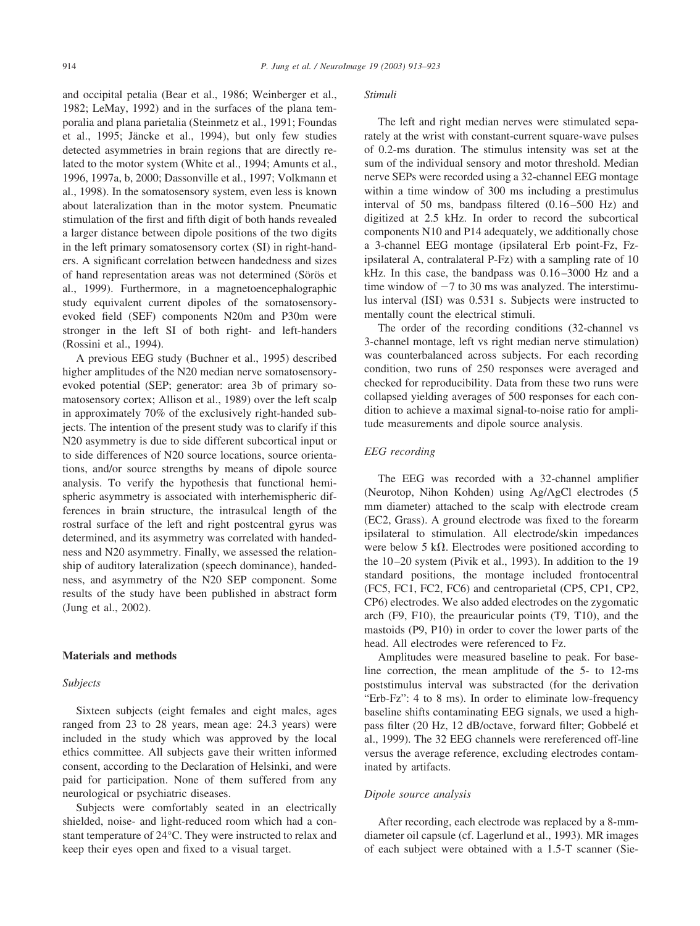and occipital petalia [\(Bear et al., 1986; Weinberger et al.,](#page-9-0) [1982; LeMay, 1992\)](#page-9-0) and in the surfaces of the plana temporalia and plana parietalia [\(Steinmetz et al., 1991; Foundas](#page-10-0) et al., 1995; Jäncke et al., 1994), but only few studies detected asymmetries in brain regions that are directly related to the motor system [\(White et al., 1994; Amunts et al.,](#page-10-0) [1996, 1997a, b, 2000;](#page-10-0) [Dassonville et al., 1997; Volkmann et](#page-9-0) [al., 1998\).](#page-9-0) In the somatosensory system, even less is known about lateralization than in the motor system. Pneumatic stimulation of the first and fifth digit of both hands revealed a larger distance between dipole positions of the two digits in the left primary somatosensory cortex (SI) in right-handers. A significant correlation between handedness and sizes of hand representation areas was not determined (Sörös et [al., 1999\).](#page-10-0) Furthermore, in a magnetoencephalographic study equivalent current dipoles of the somatosensoryevoked field (SEF) components N20m and P30m were stronger in the left SI of both right- and left-handers [\(Rossini et al., 1994\).](#page-10-0)

A previous EEG study [\(Buchner et al., 1995\)](#page-9-0) described higher amplitudes of the N20 median nerve somatosensoryevoked potential (SEP; generator: area 3b of primary somatosensory cortex; [Allison et al., 1989\)](#page-9-0) over the left scalp in approximately 70% of the exclusively right-handed subjects. The intention of the present study was to clarify if this N20 asymmetry is due to side different subcortical input or to side differences of N20 source locations, source orientations, and/or source strengths by means of dipole source analysis. To verify the hypothesis that functional hemispheric asymmetry is associated with interhemispheric differences in brain structure, the intrasulcal length of the rostral surface of the left and right postcentral gyrus was determined, and its asymmetry was correlated with handedness and N20 asymmetry. Finally, we assessed the relationship of auditory lateralization (speech dominance), handedness, and asymmetry of the N20 SEP component. Some results of the study have been published in abstract form [\(Jung et al., 2002\).](#page-9-0)

#### **Materials and methods**

# *Subjects*

Sixteen subjects (eight females and eight males, ages ranged from 23 to 28 years, mean age: 24.3 years) were included in the study which was approved by the local ethics committee. All subjects gave their written informed consent, according to the Declaration of Helsinki, and were paid for participation. None of them suffered from any neurological or psychiatric diseases.

Subjects were comfortably seated in an electrically shielded, noise- and light-reduced room which had a constant temperature of 24°C. They were instructed to relax and keep their eyes open and fixed to a visual target.

#### *Stimuli*

The left and right median nerves were stimulated separately at the wrist with constant-current square-wave pulses of 0.2-ms duration. The stimulus intensity was set at the sum of the individual sensory and motor threshold. Median nerve SEPs were recorded using a 32-channel EEG montage within a time window of 300 ms including a prestimulus interval of 50 ms, bandpass filtered (0.16–500 Hz) and digitized at 2.5 kHz. In order to record the subcortical components N10 and P14 adequately, we additionally chose a 3-channel EEG montage (ipsilateral Erb point-Fz, Fzipsilateral A, contralateral P-Fz) with a sampling rate of 10 kHz. In this case, the bandpass was 0.16–3000 Hz and a time window of  $-7$  to 30 ms was analyzed. The interstimulus interval (ISI) was 0.531 s. Subjects were instructed to mentally count the electrical stimuli.

The order of the recording conditions (32-channel vs 3-channel montage, left vs right median nerve stimulation) was counterbalanced across subjects. For each recording condition, two runs of 250 responses were averaged and checked for reproducibility. Data from these two runs were collapsed yielding averages of 500 responses for each condition to achieve a maximal signal-to-noise ratio for amplitude measurements and dipole source analysis.

# *EEG recording*

The EEG was recorded with a 32-channel amplifier (Neurotop, Nihon Kohden) using Ag/AgCl electrodes (5 mm diameter) attached to the scalp with electrode cream (EC2, Grass). A ground electrode was fixed to the forearm ipsilateral to stimulation. All electrode/skin impedances were below 5 k $\Omega$ . Electrodes were positioned according to the 10–20 system [\(Pivik et al., 1993\)](#page-10-0). In addition to the 19 standard positions, the montage included frontocentral (FC5, FC1, FC2, FC6) and centroparietal (CP5, CP1, CP2, CP6) electrodes. We also added electrodes on the zygomatic arch (F9, F10), the preauricular points (T9, T10), and the mastoids (P9, P10) in order to cover the lower parts of the head. All electrodes were referenced to Fz.

Amplitudes were measured baseline to peak. For baseline correction, the mean amplitude of the 5- to 12-ms poststimulus interval was substracted (for the derivation "Erb-Fz": 4 to 8 ms). In order to eliminate low-frequency baseline shifts contaminating EEG signals, we used a highpass filter (20 Hz, 12 dB/octave, forward filter; Gobbelé et [al., 1999\)](#page-9-0). The 32 EEG channels were rereferenced off-line versus the average reference, excluding electrodes contaminated by artifacts.

# *Dipole source analysis*

After recording, each electrode was replaced by a 8-mmdiameter oil capsule (cf. [Lagerlund et al., 1993\).](#page-9-0) MR images of each subject were obtained with a 1.5-T scanner (Sie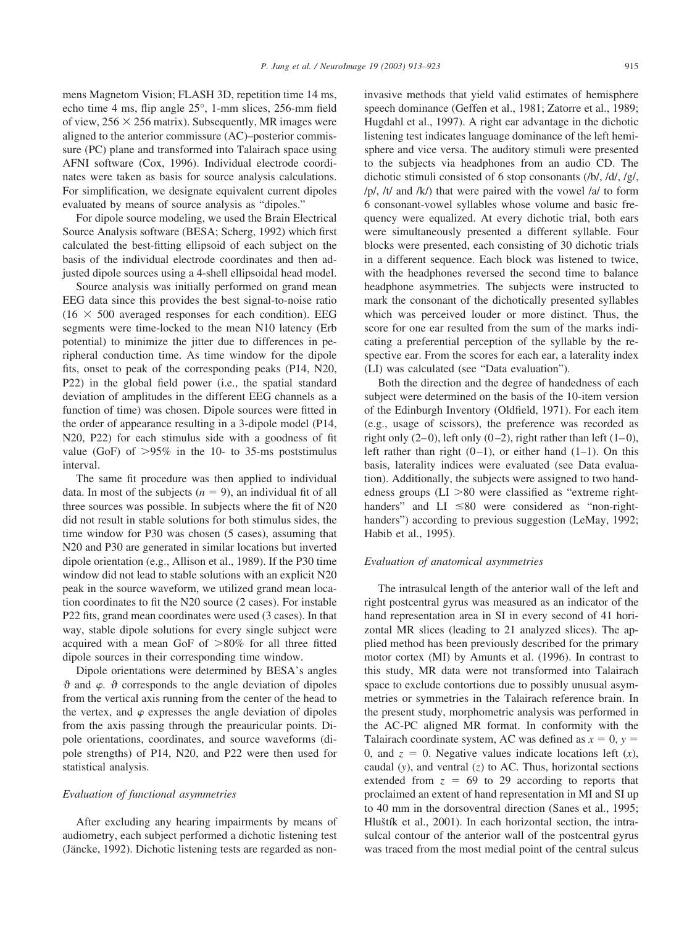mens Magnetom Vision; FLASH 3D, repetition time 14 ms, echo time 4 ms, flip angle 25°, 1-mm slices, 256-mm field of view,  $256 \times 256$  matrix). Subsequently, MR images were aligned to the anterior commissure (AC)–posterior commissure (PC) plane and transformed into Talairach space using AFNI software [\(Cox, 1996\).](#page-9-0) Individual electrode coordinates were taken as basis for source analysis calculations. For simplification, we designate equivalent current dipoles evaluated by means of source analysis as "dipoles."

For dipole source modeling, we used the Brain Electrical Source Analysis software (BESA; [Scherg, 1992\)](#page-10-0) which first calculated the best-fitting ellipsoid of each subject on the basis of the individual electrode coordinates and then adjusted dipole sources using a 4-shell ellipsoidal head model.

Source analysis was initially performed on grand mean EEG data since this provides the best signal-to-noise ratio  $(16 \times 500$  averaged responses for each condition). EEG segments were time-locked to the mean N10 latency (Erb potential) to minimize the jitter due to differences in peripheral conduction time. As time window for the dipole fits, onset to peak of the corresponding peaks (P14, N20, P22) in the global field power (i.e., the spatial standard deviation of amplitudes in the different EEG channels as a function of time) was chosen. Dipole sources were fitted in the order of appearance resulting in a 3-dipole model (P14, N20, P22) for each stimulus side with a goodness of fit value (GoF) of  $>95\%$  in the 10- to 35-ms poststimulus interval.

The same fit procedure was then applied to individual data. In most of the subjects  $(n = 9)$ , an individual fit of all three sources was possible. In subjects where the fit of N20 did not result in stable solutions for both stimulus sides, the time window for P30 was chosen (5 cases), assuming that N20 and P30 are generated in similar locations but inverted dipole orientation (e.g., [Allison et al., 1989\)](#page-9-0). If the P30 time window did not lead to stable solutions with an explicit N20 peak in the source waveform, we utilized grand mean location coordinates to fit the N20 source (2 cases). For instable P22 fits, grand mean coordinates were used (3 cases). In that way, stable dipole solutions for every single subject were acquired with a mean GoF of  $>80\%$  for all three fitted dipole sources in their corresponding time window.

Dipole orientations were determined by BESA's angles  $\vartheta$  and  $\varphi$ .  $\vartheta$  corresponds to the angle deviation of dipoles from the vertical axis running from the center of the head to the vertex, and  $\varphi$  expresses the angle deviation of dipoles from the axis passing through the preauricular points. Dipole orientations, coordinates, and source waveforms (dipole strengths) of P14, N20, and P22 were then used for statistical analysis.

#### *Evaluation of functional asymmetries*

After excluding any hearing impairments by means of audiometry, each subject performed a dichotic listening test (Jäncke, 1992). Dichotic listening tests are regarded as noninvasive methods that yield valid estimates of hemisphere speech dominance [\(Geffen et al., 1981; Zatorre et al., 1989;](#page-9-0) [Hugdahl et al., 1997\).](#page-9-0) A right ear advantage in the dichotic listening test indicates language dominance of the left hemisphere and vice versa. The auditory stimuli were presented to the subjects via headphones from an audio CD. The dichotic stimuli consisted of 6 stop consonants (/b/, /d/, /g/, /p/, /t/ and /k/) that were paired with the vowel /a/ to form 6 consonant-vowel syllables whose volume and basic frequency were equalized. At every dichotic trial, both ears were simultaneously presented a different syllable. Four blocks were presented, each consisting of 30 dichotic trials in a different sequence. Each block was listened to twice, with the headphones reversed the second time to balance headphone asymmetries. The subjects were instructed to mark the consonant of the dichotically presented syllables which was perceived louder or more distinct. Thus, the score for one ear resulted from the sum of the marks indicating a preferential perception of the syllable by the respective ear. From the scores for each ear, a laterality index (LI) was calculated (see "Data evaluation").

Both the direction and the degree of handedness of each subject were determined on the basis of the 10-item version of the Edinburgh Inventory [\(Oldfield, 1971\)](#page-10-0). For each item (e.g., usage of scissors), the preference was recorded as right only  $(2-0)$ , left only  $(0-2)$ , right rather than left  $(1-0)$ , left rather than right  $(0-1)$ , or either hand  $(1-1)$ . On this basis, laterality indices were evaluated (see Data evaluation). Additionally, the subjects were assigned to two handedness groups  $(LI > 80$  were classified as "extreme righthanders" and  $LI \leq 80$  were considered as "non-right-handers") according to previous suggestion [\(LeMay, 1992;](#page-10-0) [Habib et al., 1995\).](#page-10-0)

### *Evaluation of anatomical asymmetries*

The intrasulcal length of the anterior wall of the left and right postcentral gyrus was measured as an indicator of the hand representation area in SI in every second of 41 horizontal MR slices (leading to 21 analyzed slices). The applied method has been previously described for the primary motor cortex (MI) by [Amunts et al. \(1996\)](#page-9-0). In contrast to this study, MR data were not transformed into Talairach space to exclude contortions due to possibly unusual asymmetries or symmetries in the Talairach reference brain. In the present study, morphometric analysis was performed in the AC-PC aligned MR format. In conformity with the Talairach coordinate system, AC was defined as  $x = 0$ ,  $y =$ 0, and  $z = 0$ . Negative values indicate locations left  $(x)$ , caudal (*y*), and ventral (*z*) to AC. Thus, horizontal sections extended from  $z = 69$  to 29 according to reports that proclaimed an extent of hand representation in MI and SI up to 40 mm in the dorsoventral direction [\(Sanes et al., 1995;](#page-10-0) Hluštík et al., 2001). In each horizontal section, the intrasulcal contour of the anterior wall of the postcentral gyrus was traced from the most medial point of the central sulcus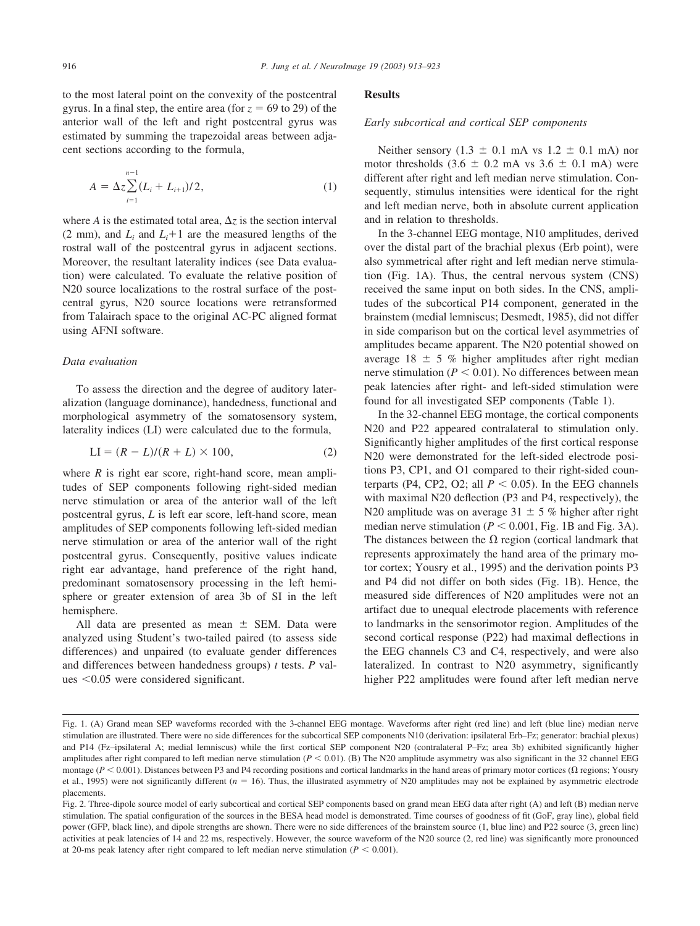<span id="page-3-0"></span>to the most lateral point on the convexity of the postcentral gyrus. In a final step, the entire area (for  $z = 69$  to 29) of the anterior wall of the left and right postcentral gyrus was estimated by summing the trapezoidal areas between adjacent sections according to the formula,

$$
A = \Delta z \sum_{i=1}^{n-1} (L_i + L_{i+1})/2, \tag{1}
$$

where *A* is the estimated total area,  $\Delta z$  is the section interval  $(2 \text{ mm})$ , and  $L_i$  and  $L_i+1$  are the measured lengths of the rostral wall of the postcentral gyrus in adjacent sections. Moreover, the resultant laterality indices (see Data evaluation) were calculated. To evaluate the relative position of N20 source localizations to the rostral surface of the postcentral gyrus, N20 source locations were retransformed from Talairach space to the original AC-PC aligned format using AFNI software.

## *Data evaluation*

To assess the direction and the degree of auditory lateralization (language dominance), handedness, functional and morphological asymmetry of the somatosensory system, laterality indices (LI) were calculated due to the formula,

$$
LI = (R - L)/(R + L) \times 100,
$$
 (2)

where  $R$  is right ear score, right-hand score, mean amplitudes of SEP components following right-sided median nerve stimulation or area of the anterior wall of the left postcentral gyrus, *L* is left ear score, left-hand score, mean amplitudes of SEP components following left-sided median nerve stimulation or area of the anterior wall of the right postcentral gyrus. Consequently, positive values indicate right ear advantage, hand preference of the right hand, predominant somatosensory processing in the left hemisphere or greater extension of area 3b of SI in the left hemisphere.

All data are presented as mean  $\pm$  SEM. Data were analyzed using Student's two-tailed paired (to assess side differences) and unpaired (to evaluate gender differences and differences between handedness groups) *t* tests. *P* values  $\leq 0.05$  were considered significant.

## **Results**

# *Early subcortical and cortical SEP components*

Neither sensory  $(1.3 \pm 0.1 \text{ mA} \text{ vs } 1.2 \pm 0.1 \text{ mA})$  nor motor thresholds  $(3.6 \pm 0.2 \text{ mA} \text{ vs } 3.6 \pm 0.1 \text{ mA})$  were different after right and left median nerve stimulation. Consequently, stimulus intensities were identical for the right and left median nerve, both in absolute current application and in relation to thresholds.

In the 3-channel EEG montage, N10 amplitudes, derived over the distal part of the brachial plexus (Erb point), were also symmetrical after right and left median nerve stimulation (Fig. 1A). Thus, the central nervous system (CNS) received the same input on both sides. In the CNS, amplitudes of the subcortical P14 component, generated in the brainstem (medial lemniscus; [Desmedt, 1985\),](#page-9-0) did not differ in side comparison but on the cortical level asymmetries of amplitudes became apparent. The N20 potential showed on average 18  $\pm$  5 % higher amplitudes after right median nerve stimulation ( $P < 0.01$ ). No differences between mean peak latencies after right- and left-sided stimulation were found for all investigated SEP components ([Table 1\)](#page-5-0).

In the 32-channel EEG montage, the cortical components N20 and P22 appeared contralateral to stimulation only. Significantly higher amplitudes of the first cortical response N20 were demonstrated for the left-sided electrode positions P3, CP1, and O1 compared to their right-sided counterparts (P4, CP2, O2; all  $P < 0.05$ ). In the EEG channels with maximal N20 deflection (P3 and P4, respectively), the N20 amplitude was on average  $31 \pm 5$  % higher after right median nerve stimulation ( $P \le 0.001$ , Fig. 1B and [Fig. 3A\)](#page-6-0). The distances between the  $\Omega$  region (cortical landmark that represents approximately the hand area of the primary motor cortex; [Yousry et al., 1995\)](#page-10-0) and the derivation points P3 and P4 did not differ on both sides (Fig. 1B). Hence, the measured side differences of N20 amplitudes were not an artifact due to unequal electrode placements with reference to landmarks in the sensorimotor region. Amplitudes of the second cortical response (P22) had maximal deflections in the EEG channels C3 and C4, respectively, and were also lateralized. In contrast to N20 asymmetry, significantly higher P22 amplitudes were found after left median nerve

Fig. 1. (A) Grand mean SEP waveforms recorded with the 3-channel EEG montage. Waveforms after right (red line) and left (blue line) median nerve stimulation are illustrated. There were no side differences for the subcortical SEP components N10 (derivation: ipsilateral Erb–Fz; generator: brachial plexus) and P14 (Fz–ipsilateral A; medial lemniscus) while the first cortical SEP component N20 (contralateral P–Fz; area 3b) exhibited significantly higher amplitudes after right compared to left median nerve stimulation  $(P < 0.01)$ . (B) The N20 amplitude asymmetry was also significant in the 32 channel EEG montage ( $P < 0.001$ ). Distances between P3 and P4 recording positions and cortical landmarks in the hand areas of primary motor cortices ( $\Omega$  regions; [Yousry](#page-10-0) [et al., 1995\)](#page-10-0) were not significantly different  $(n = 16)$ . Thus, the illustrated asymmetry of N20 amplitudes may not be explained by asymmetric electrode placements.

Fig. 2. Three-dipole source model of early subcortical and cortical SEP components based on grand mean EEG data after right (A) and left (B) median nerve stimulation. The spatial configuration of the sources in the BESA head model is demonstrated. Time courses of goodness of fit (GoF, gray line), global field power (GFP, black line), and dipole strengths are shown. There were no side differences of the brainstem source (1, blue line) and P22 source (3, green line) activities at peak latencies of 14 and 22 ms, respectively. However, the source waveform of the N20 source (2, red line) was significantly more pronounced at 20-ms peak latency after right compared to left median nerve stimulation  $(P < 0.001)$ .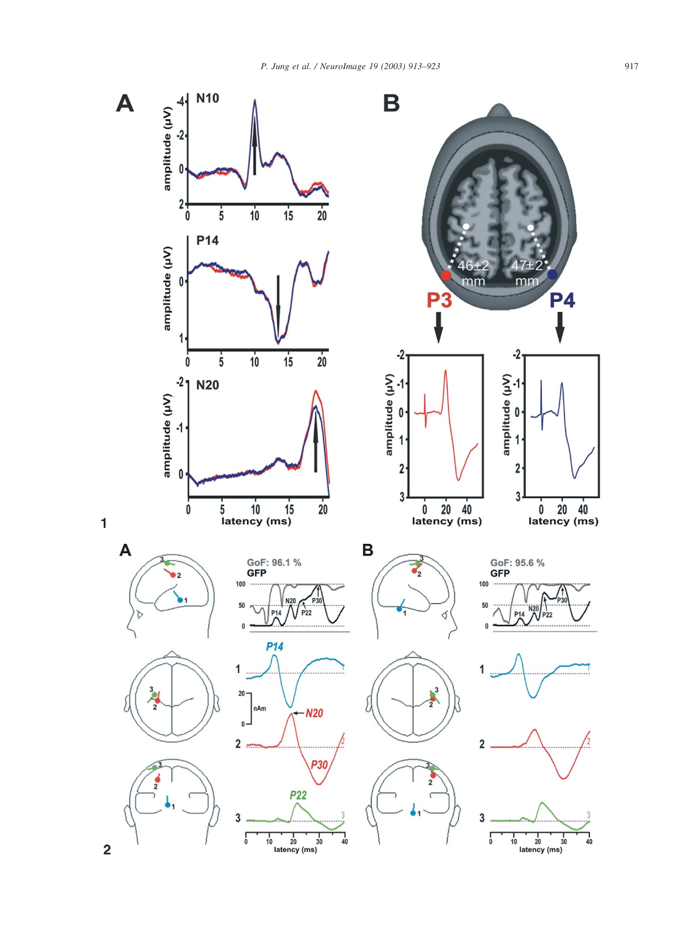

 $\overline{\mathbf{c}}$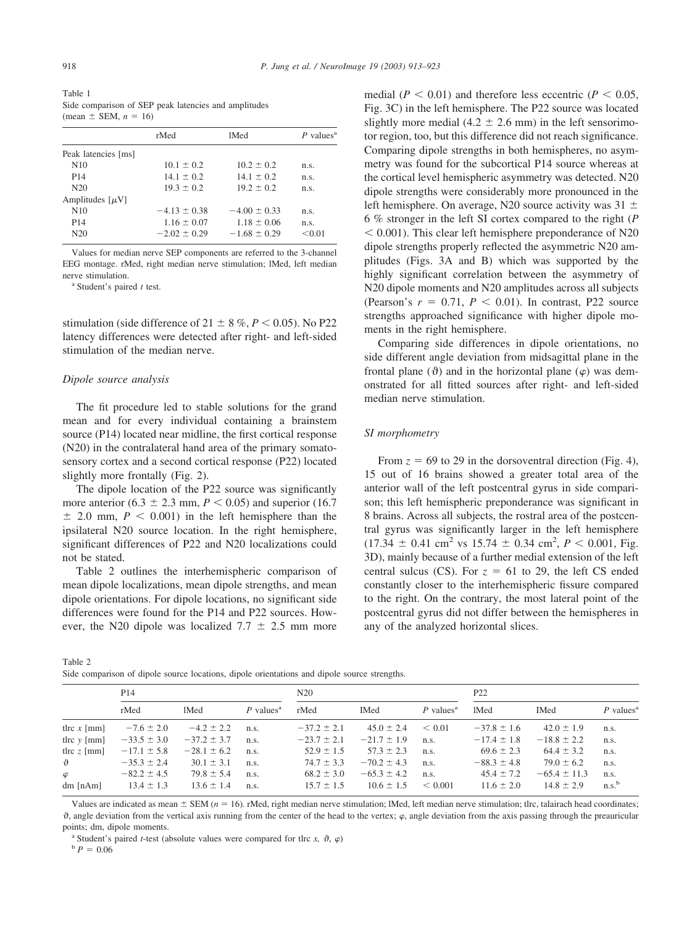<span id="page-5-0"></span>Table 1 Side comparison of SEP peak latencies and amplitudes (mean  $\pm$  SEM,  $n = 16$ )

|                      | rMed             | 1Med             | $P$ values <sup>a</sup> |  |
|----------------------|------------------|------------------|-------------------------|--|
| Peak latencies [ms]  |                  |                  |                         |  |
| N10                  | $10.1 \pm 0.2$   | $10.2 \pm 0.2$   | n.s.                    |  |
| P <sub>14</sub>      | $14.1 \pm 0.2$   | $14.1 \pm 0.2$   | n.s.                    |  |
| N20                  | $19.3 \pm 0.2$   | $19.2 \pm 0.2$   | n.S.                    |  |
| Amplitudes $[\mu V]$ |                  |                  |                         |  |
| N10                  | $-4.13 \pm 0.38$ | $-4.00 \pm 0.33$ | n.s.                    |  |
| P <sub>14</sub>      | $1.16 \pm 0.07$  | $1.18 \pm 0.06$  | n.s.                    |  |
| N20                  | $-2.02 \pm 0.29$ | $-1.68 \pm 0.29$ | < 0.01                  |  |
|                      |                  |                  |                         |  |

Values for median nerve SEP components are referred to the 3-channel EEG montage. rMed, right median nerve stimulation; lMed, left median nerve stimulation.

<sup>a</sup> Student's paired *t* test.

stimulation (side difference of  $21 \pm 8\%$ ,  $P < 0.05$ ). No P22 latency differences were detected after right- and left-sided stimulation of the median nerve.

# *Dipole source analysis*

The fit procedure led to stable solutions for the grand mean and for every individual containing a brainstem source (P14) located near midline, the first cortical response (N20) in the contralateral hand area of the primary somatosensory cortex and a second cortical response (P22) located slightly more frontally ([Fig. 2](#page-3-0)).

The dipole location of the P22 source was significantly more anterior  $(6.3 \pm 2.3 \text{ mm}, P \le 0.05)$  and superior  $(16.7 \pm 1.3 \text{ mm})$  $\pm$  2.0 mm,  $P < 0.001$ ) in the left hemisphere than the ipsilateral N20 source location. In the right hemisphere, significant differences of P22 and N20 localizations could not be stated.

Table 2 outlines the interhemispheric comparison of mean dipole localizations, mean dipole strengths, and mean dipole orientations. For dipole locations, no significant side differences were found for the P14 and P22 sources. However, the N20 dipole was localized  $7.7 \pm 2.5$  mm more

medial ( $P < 0.01$ ) and therefore less eccentric ( $P < 0.05$ , [Fig. 3C\)](#page-6-0) in the left hemisphere. The P22 source was located slightly more medial  $(4.2 \pm 2.6 \text{ mm})$  in the left sensorimotor region, too, but this difference did not reach significance. Comparing dipole strengths in both hemispheres, no asymmetry was found for the subcortical P14 source whereas at the cortical level hemispheric asymmetry was detected. N20 dipole strengths were considerably more pronounced in the left hemisphere. On average, N20 source activity was  $31 \pm$ 6 % stronger in the left SI cortex compared to the right (*P*  $0.001$ ). This clear left hemisphere preponderance of N20 dipole strengths properly reflected the asymmetric N20 amplitudes ([Figs. 3A and B\)](#page-6-0) which was supported by the highly significant correlation between the asymmetry of N20 dipole moments and N20 amplitudes across all subjects (Pearson's  $r = 0.71$ ,  $P < 0.01$ ). In contrast, P22 source strengths approached significance with higher dipole moments in the right hemisphere.

Comparing side differences in dipole orientations, no side different angle deviation from midsagittal plane in the frontal plane  $(\theta)$  and in the horizontal plane  $(\varphi)$  was demonstrated for all fitted sources after right- and left-sided median nerve stimulation.

# *SI morphometry*

From  $z = 69$  to 29 in the dorsoventral direction [\(Fig. 4\)](#page-7-0), 15 out of 16 brains showed a greater total area of the anterior wall of the left postcentral gyrus in side comparison; this left hemispheric preponderance was significant in 8 brains. Across all subjects, the rostral area of the postcentral gyrus was significantly larger in the left hemisphere  $(17.34 \pm 0.41 \text{ cm}^2 \text{ vs } 15.74 \pm 0.34 \text{ cm}^2, P < 0.001, \text{ Fig.}$  $(17.34 \pm 0.41 \text{ cm}^2 \text{ vs } 15.74 \pm 0.34 \text{ cm}^2, P < 0.001, \text{ Fig.}$  $(17.34 \pm 0.41 \text{ cm}^2 \text{ vs } 15.74 \pm 0.34 \text{ cm}^2, P < 0.001, \text{ Fig.}$ [3D\)](#page-6-0), mainly because of a further medial extension of the left central sulcus (CS). For  $z = 61$  to 29, the left CS ended constantly closer to the interhemispheric fissure compared to the right. On the contrary, the most lateral point of the postcentral gyrus did not differ between the hemispheres in any of the analyzed horizontal slices.

| Table 2 |                                                                                              |
|---------|----------------------------------------------------------------------------------------------|
|         | Side comparison of dipole source locations, dipole orientations and dipole source strengths. |

|               | P <sub>14</sub> |                 |                                      | N20             |                 | P <sub>22</sub>                      |                 |                  |                         |  |  |
|---------------|-----------------|-----------------|--------------------------------------|-----------------|-----------------|--------------------------------------|-----------------|------------------|-------------------------|--|--|
|               | rMed            | 1Med            | $P$ values <sup><math>a</math></sup> | rMed            | <b>IMed</b>     | $P$ values <sup><math>a</math></sup> | <b>1Med</b>     | <b>IMed</b>      | $P$ values <sup>a</sup> |  |  |
| tlrc $x$ [mm] | $-7.6 \pm 2.0$  | $-4.2 \pm 2.2$  | n.s.                                 | $-37.2 \pm 2.1$ | $45.0 \pm 2.4$  | ${}< 0.01$                           | $-37.8 \pm 1.6$ | $42.0 \pm 1.9$   | n.s.                    |  |  |
| tlrc $y$ [mm] | $-33.5 \pm 3.0$ | $-37.2 \pm 3.7$ | n.s.                                 | $-23.7 \pm 2.1$ | $-21.7 \pm 1.9$ | n.s.                                 | $-17.4 \pm 1.8$ | $-18.8 \pm 2.2$  | n.s.                    |  |  |
| tlrc $z$ [mm] | $-17.1 \pm 5.8$ | $-28.1 \pm 6.2$ | n.s.                                 | $52.9 \pm 1.5$  | $57.3 \pm 2.3$  | n.s.                                 | $69.6 \pm 2.3$  | $64.4 \pm 3.2$   | n.s.                    |  |  |
| $\vartheta$   | $-35.3 \pm 2.4$ | $30.1 \pm 3.1$  | n.s.                                 | $74.7 \pm 3.3$  | $-70.2 \pm 4.3$ | n.s.                                 | $-88.3 \pm 4.8$ | $79.0 \pm 6.2$   | n.s.                    |  |  |
| $\varphi$     | $-82.2 \pm 4.5$ | $79.8 \pm 5.4$  | n.s.                                 | $68.2 \pm 3.0$  | $-65.3 \pm 4.2$ | n.s.                                 | $45.4 \pm 7.2$  | $-65.4 \pm 11.3$ | n.s.                    |  |  |
| $dm$ [nAm]    | $13.4 \pm 1.3$  | $13.6 \pm 1.4$  | n.s.                                 | $15.7 \pm 1.5$  | $10.6 \pm 1.5$  | < 0.001                              | $11.6 \pm 2.0$  | $14.8 \pm 2.9$   | n.s. <sup>b</sup>       |  |  |

Values are indicated as mean  $\pm$  SEM ( $n = 16$ ). rMed, right median nerve stimulation; lMed, left median nerve stimulation; tlrc, talairach head coordinates;  $\vartheta$ , angle deviation from the vertical axis running from the center of the head to the vertex;  $\varphi$ , angle deviation from the axis passing through the preauricular points; dm, dipole moments.

<sup>a</sup> Student's paired *t*-test (absolute values were compared for tlrc *x*,  $\vartheta$ ,  $\varphi$ )

$$
P = 0.06
$$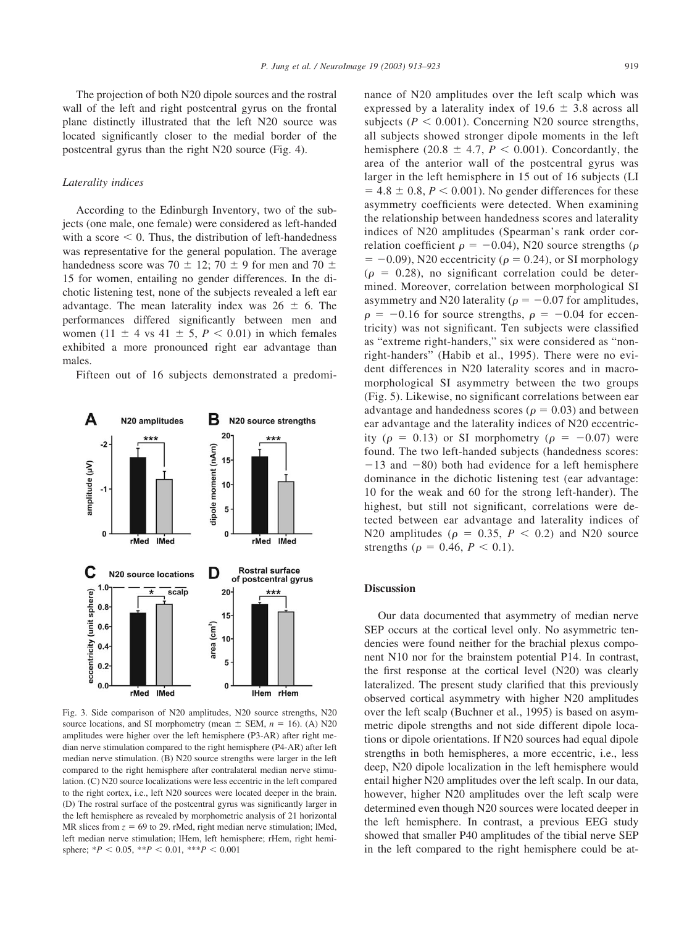<span id="page-6-0"></span>The projection of both N20 dipole sources and the rostral wall of the left and right postcentral gyrus on the frontal plane distinctly illustrated that the left N20 source was located significantly closer to the medial border of the postcentral gyrus than the right N20 source [\(Fig. 4](#page-7-0)).

#### *Laterality indices*

According to the Edinburgh Inventory, two of the subjects (one male, one female) were considered as left-handed with a score  $< 0$ . Thus, the distribution of left-handedness was representative for the general population. The average handedness score was  $70 \pm 12$ ;  $70 \pm 9$  for men and  $70 \pm 9$ 15 for women, entailing no gender differences. In the dichotic listening test, none of the subjects revealed a left ear advantage. The mean laterality index was  $26 \pm 6$ . The performances differed significantly between men and women  $(11 \pm 4 \text{ vs } 41 \pm 5, P < 0.01)$  in which females exhibited a more pronounced right ear advantage than males.

Fifteen out of 16 subjects demonstrated a predomi-



Fig. 3. Side comparison of N20 amplitudes, N20 source strengths, N20 source locations, and SI morphometry (mean  $\pm$  SEM,  $n = 16$ ). (A) N20 amplitudes were higher over the left hemisphere (P3-AR) after right median nerve stimulation compared to the right hemisphere (P4-AR) after left median nerve stimulation. (B) N20 source strengths were larger in the left compared to the right hemisphere after contralateral median nerve stimulation. (C) N20 source localizations were less eccentric in the left compared to the right cortex, i.e., left N20 sources were located deeper in the brain. (D) The rostral surface of the postcentral gyrus was significantly larger in the left hemisphere as revealed by morphometric analysis of 21 horizontal MR slices from  $z = 69$  to 29. rMed, right median nerve stimulation; lMed, left median nerve stimulation; lHem, left hemisphere; rHem, right hemisphere;  $*P < 0.05$ ,  $*{} *P < 0.01$ ,  $*{} * {} *P < 0.001$ 

nance of N20 amplitudes over the left scalp which was expressed by a laterality index of  $19.6 \pm 3.8$  across all subjects ( $P < 0.001$ ). Concerning N20 source strengths, all subjects showed stronger dipole moments in the left hemisphere  $(20.8 \pm 4.7, P \le 0.001)$ . Concordantly, the area of the anterior wall of the postcentral gyrus was larger in the left hemisphere in 15 out of 16 subjects (LI  $= 4.8 \pm 0.8$ ,  $P < 0.001$ ). No gender differences for these asymmetry coefficients were detected. When examining the relationship between handedness scores and laterality indices of N20 amplitudes (Spearman's rank order correlation coefficient  $\rho = -0.04$ ), N20 source strengths ( $\rho$  $= -0.09$ ), N20 eccentricity ( $\rho = 0.24$ ), or SI morphology  $(\rho = 0.28)$ , no significant correlation could be determined. Moreover, correlation between morphological SI asymmetry and N20 laterality ( $\rho = -0.07$  for amplitudes,  $\rho = -0.16$  for source strengths,  $\rho = -0.04$  for eccentricity) was not significant. Ten subjects were classified as "extreme right-handers," six were considered as "nonright-handers" [\(Habib et al., 1995\)](#page-9-0). There were no evident differences in N20 laterality scores and in macromorphological SI asymmetry between the two groups [\(Fig. 5](#page-7-0)). Likewise, no significant correlations between ear advantage and handedness scores ( $\rho = 0.03$ ) and between ear advantage and the laterality indices of N20 eccentricity ( $\rho = 0.13$ ) or SI morphometry ( $\rho = -0.07$ ) were found. The two left-handed subjects (handedness scores:  $-13$  and  $-80$ ) both had evidence for a left hemisphere dominance in the dichotic listening test (ear advantage: 10 for the weak and 60 for the strong left-hander). The highest, but still not significant, correlations were detected between ear advantage and laterality indices of N20 amplitudes ( $\rho = 0.35$ ,  $P < 0.2$ ) and N20 source strengths ( $\rho = 0.46, P < 0.1$ ).

# **Discussion**

Our data documented that asymmetry of median nerve SEP occurs at the cortical level only. No asymmetric tendencies were found neither for the brachial plexus component N10 nor for the brainstem potential P14. In contrast, the first response at the cortical level (N20) was clearly lateralized. The present study clarified that this previously observed cortical asymmetry with higher N20 amplitudes over the left scalp [\(Buchner et al., 1995\)](#page-9-0) is based on asymmetric dipole strengths and not side different dipole locations or dipole orientations. If N20 sources had equal dipole strengths in both hemispheres, a more eccentric, i.e., less deep, N20 dipole localization in the left hemisphere would entail higher N20 amplitudes over the left scalp. In our data, however, higher N20 amplitudes over the left scalp were determined even though N20 sources were located deeper in the left hemisphere. In contrast, a previous EEG study showed that smaller P40 amplitudes of the tibial nerve SEP in the left compared to the right hemisphere could be at-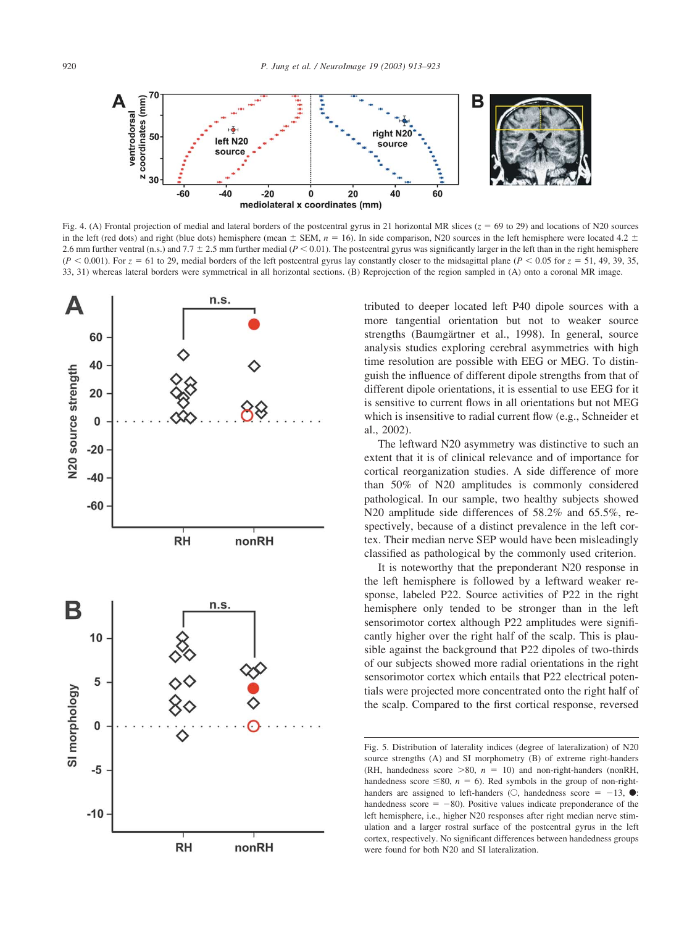<span id="page-7-0"></span>

Fig. 4. (A) Frontal projection of medial and lateral borders of the postcentral gyrus in 21 horizontal MR slices ( $z = 69$  to 29) and locations of N20 sources in the left (red dots) and right (blue dots) hemisphere (mean  $\pm$  SEM,  $n = 16$ ). In side comparison, N20 sources in the left hemisphere were located 4.2  $\pm$ 2.6 mm further ventral (n.s.) and  $7.7 \pm 2.5$  mm further medial ( $P < 0.01$ ). The postcentral gyrus was significantly larger in the left than in the right hemisphere  $(P < 0.001)$ . For  $z = 61$  to 29, medial borders of the left postcentral gyrus lay constantly closer to the midsagittal plane  $(P < 0.05$  for  $z = 51, 49, 39, 35,$ 33, 31) whereas lateral borders were symmetrical in all horizontal sections. (B) Reprojection of the region sampled in (A) onto a coronal MR image.



tributed to deeper located left P40 dipole sources with a more tangential orientation but not to weaker source strengths (Baumgärtner et al., 1998). In general, source analysis studies exploring cerebral asymmetries with high time resolution are possible with EEG or MEG. To distinguish the influence of different dipole strengths from that of different dipole orientations, it is essential to use EEG for it is sensitive to current flows in all orientations but not MEG which is insensitive to radial current flow (e.g., [Schneider et](#page-10-0) [al., 2002\).](#page-10-0)

The leftward N20 asymmetry was distinctive to such an extent that it is of clinical relevance and of importance for cortical reorganization studies. A side difference of more than 50% of N20 amplitudes is commonly considered pathological. In our sample, two healthy subjects showed N20 amplitude side differences of 58.2% and 65.5%, respectively, because of a distinct prevalence in the left cortex. Their median nerve SEP would have been misleadingly classified as pathological by the commonly used criterion.

It is noteworthy that the preponderant N20 response in the left hemisphere is followed by a leftward weaker response, labeled P22. Source activities of P22 in the right hemisphere only tended to be stronger than in the left sensorimotor cortex although P22 amplitudes were significantly higher over the right half of the scalp. This is plausible against the background that P22 dipoles of two-thirds of our subjects showed more radial orientations in the right sensorimotor cortex which entails that P22 electrical potentials were projected more concentrated onto the right half of the scalp. Compared to the first cortical response, reversed

Fig. 5. Distribution of laterality indices (degree of lateralization) of N20 source strengths (A) and SI morphometry (B) of extreme right-handers (RH, handedness score  $>80$ ,  $n = 10$ ) and non-right-handers (nonRH, handedness score  $\leq 80$ ,  $n = 6$ ). Red symbols in the group of non-righthanders are assigned to left-handers ( $\circ$ ), handedness score = -13,  $\bullet$ : handedness score  $= -80$ ). Positive values indicate preponderance of the left hemisphere, i.e., higher N20 responses after right median nerve stimulation and a larger rostral surface of the postcentral gyrus in the left cortex, respectively. No significant differences between handedness groups were found for both N20 and SI lateralization.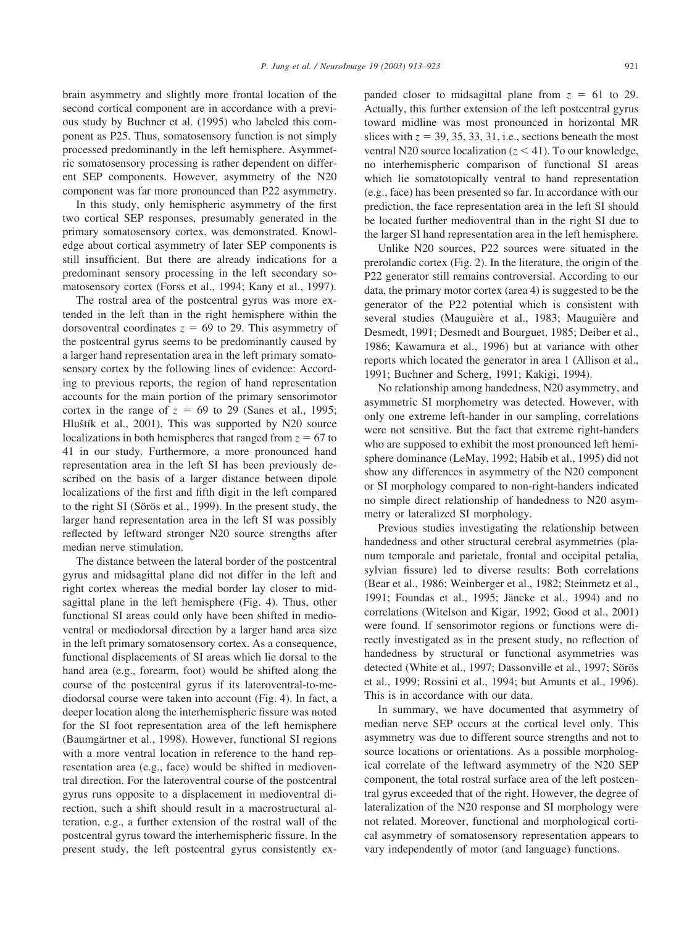brain asymmetry and slightly more frontal location of the second cortical component are in accordance with a previous study by [Buchner et al. \(1995\)](#page-9-0) who labeled this component as P25. Thus, somatosensory function is not simply processed predominantly in the left hemisphere. Asymmetric somatosensory processing is rather dependent on different SEP components. However, asymmetry of the N20 component was far more pronounced than P22 asymmetry.

In this study, only hemispheric asymmetry of the first two cortical SEP responses, presumably generated in the primary somatosensory cortex, was demonstrated. Knowledge about cortical asymmetry of later SEP components is still insufficient. But there are already indications for a predominant sensory processing in the left secondary somatosensory cortex [\(Forss et al., 1994; Kany et al., 1997\).](#page-9-0)

The rostral area of the postcentral gyrus was more extended in the left than in the right hemisphere within the dorsoventral coordinates  $z = 69$  to 29. This asymmetry of the postcentral gyrus seems to be predominantly caused by a larger hand representation area in the left primary somatosensory cortex by the following lines of evidence: According to previous reports, the region of hand representation accounts for the main portion of the primary sensorimotor cortex in the range of  $z = 69$  to 29 [\(Sanes et al., 1995;](#page-10-0) Hluštík et al., 2001). This was supported by N20 source localizations in both hemispheres that ranged from  $z = 67$  to 41 in our study. Furthermore, a more pronounced hand representation area in the left SI has been previously described on the basis of a larger distance between dipole localizations of the first and fifth digit in the left compared to the right SI (Sörös et al., 1999). In the present study, the larger hand representation area in the left SI was possibly reflected by leftward stronger N20 source strengths after median nerve stimulation.

The distance between the lateral border of the postcentral gyrus and midsagittal plane did not differ in the left and right cortex whereas the medial border lay closer to midsagittal plane in the left hemisphere ([Fig. 4\)](#page-7-0). Thus, other functional SI areas could only have been shifted in medioventral or mediodorsal direction by a larger hand area size in the left primary somatosensory cortex. As a consequence, functional displacements of SI areas which lie dorsal to the hand area (e.g., forearm, foot) would be shifted along the course of the postcentral gyrus if its lateroventral-to-mediodorsal course were taken into account [\(Fig. 4\)](#page-7-0). In fact, a deeper location along the interhemispheric fissure was noted for the SI foot representation area of the left hemisphere (Baumgärtner et al., 1998). However, functional SI regions with a more ventral location in reference to the hand representation area (e.g., face) would be shifted in medioventral direction. For the lateroventral course of the postcentral gyrus runs opposite to a displacement in medioventral direction, such a shift should result in a macrostructural alteration, e.g., a further extension of the rostral wall of the postcentral gyrus toward the interhemispheric fissure. In the present study, the left postcentral gyrus consistently expanded closer to midsagittal plane from  $z = 61$  to 29. Actually, this further extension of the left postcentral gyrus toward midline was most pronounced in horizontal MR slices with  $z = 39, 35, 33, 31,$  i.e., sections beneath the most ventral N20 source localization  $(z < 41)$ . To our knowledge, no interhemispheric comparison of functional SI areas which lie somatotopically ventral to hand representation (e.g., face) has been presented so far. In accordance with our prediction, the face representation area in the left SI should be located further medioventral than in the right SI due to the larger SI hand representation area in the left hemisphere.

Unlike N20 sources, P22 sources were situated in the prerolandic cortex [\(Fig. 2](#page-3-0)). In the literature, the origin of the P22 generator still remains controversial. According to our data, the primary motor cortex (area 4) is suggested to be the generator of the P22 potential which is consistent with several studies (Mauguière et al., 1983; Mauguière and [Desmedt, 1991](#page-10-0); [Desmedt and Bourguet, 1985; Deiber et al.,](#page-9-0) [1986; Kawamura et al., 1996\)](#page-9-0) but at variance with other reports which located the generator in area 1 [\(Allison et al.,](#page-9-0) [1991; Buchner and Scherg, 1991; Kakigi, 1994\).](#page-9-0)

No relationship among handedness, N20 asymmetry, and asymmetric SI morphometry was detected. However, with only one extreme left-hander in our sampling, correlations were not sensitive. But the fact that extreme right-handers who are supposed to exhibit the most pronounced left hemisphere dominance [\(LeMay, 1992; Habib et al., 1995\)](#page-10-0) did not show any differences in asymmetry of the N20 component or SI morphology compared to non-right-handers indicated no simple direct relationship of handedness to N20 asymmetry or lateralized SI morphology.

Previous studies investigating the relationship between handedness and other structural cerebral asymmetries (planum temporale and parietale, frontal and occipital petalia, sylvian fissure) led to diverse results: Both correlations [\(Bear et al., 1986; Weinberger et al., 1982; Steinmetz et al.,](#page-9-0) 1991; Foundas et al., 1995; Jäncke et al., 1994) and no correlations [\(Witelson and Kigar, 1992; Good et al., 2001\)](#page-10-0) were found. If sensorimotor regions or functions were directly investigated as in the present study, no reflection of handedness by structural or functional asymmetries was detected (White et al., 1997; Dassonville et al., 1997; Sörös [et al., 1999; Rossini et al., 1994;](#page-10-0) but [Amunts et al., 1996\)](#page-9-0). This is in accordance with our data.

In summary, we have documented that asymmetry of median nerve SEP occurs at the cortical level only. This asymmetry was due to different source strengths and not to source locations or orientations. As a possible morphological correlate of the leftward asymmetry of the N20 SEP component, the total rostral surface area of the left postcentral gyrus exceeded that of the right. However, the degree of lateralization of the N20 response and SI morphology were not related. Moreover, functional and morphological cortical asymmetry of somatosensory representation appears to vary independently of motor (and language) functions.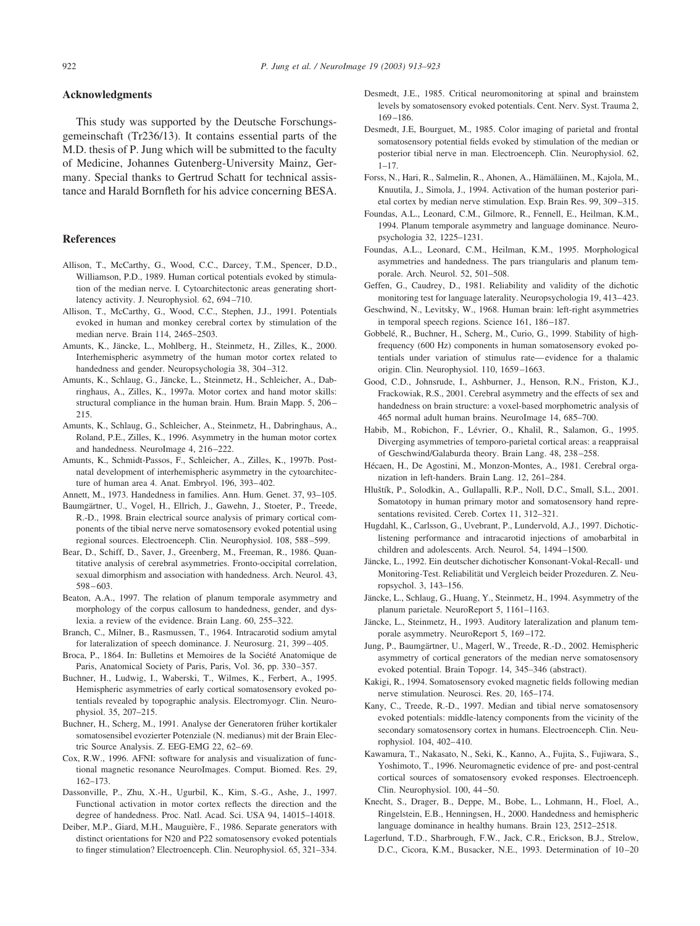#### <span id="page-9-0"></span>**Acknowledgments**

This study was supported by the Deutsche Forschungsgemeinschaft (Tr236/13). It contains essential parts of the M.D. thesis of P. Jung which will be submitted to the faculty of Medicine, Johannes Gutenberg-University Mainz, Germany. Special thanks to Gertrud Schatt for technical assistance and Harald Bornfleth for his advice concerning BESA.

#### **References**

- Allison, T., McCarthy, G., Wood, C.C., Darcey, T.M., Spencer, D.D., Williamson, P.D., 1989. Human cortical potentials evoked by stimulation of the median nerve. I. Cytoarchitectonic areas generating shortlatency activity. J. Neurophysiol. 62, 694–710.
- Allison, T., McCarthy, G., Wood, C.C., Stephen, J.J., 1991. Potentials evoked in human and monkey cerebral cortex by stimulation of the median nerve. Brain 114, 2465–2503.
- Amunts, K., Jäncke, L., Mohlberg, H., Steinmetz, H., Zilles, K., 2000. Interhemispheric asymmetry of the human motor cortex related to handedness and gender. Neuropsychologia 38, 304-312.
- Amunts, K., Schlaug, G., Jäncke, L., Steinmetz, H., Schleicher, A., Dabringhaus, A., Zilles, K., 1997a. Motor cortex and hand motor skills: structural compliance in the human brain. Hum. Brain Mapp. 5, 206– 215.
- Amunts, K., Schlaug, G., Schleicher, A., Steinmetz, H., Dabringhaus, A., Roland, P.E., Zilles, K., 1996. Asymmetry in the human motor cortex and handedness. NeuroImage 4, 216–222.
- Amunts, K., Schmidt-Passos, F., Schleicher, A., Zilles, K., 1997b. Postnatal development of interhemispheric asymmetry in the cytoarchitecture of human area 4. Anat. Embryol. 196, 393–402.

Annett, M., 1973. Handedness in families. Ann. Hum. Genet. 37, 93–105.

- Baumgärtner, U., Vogel, H., Ellrich, J., Gawehn, J., Stoeter, P., Treede, R.-D., 1998. Brain electrical source analysis of primary cortical components of the tibial nerve nerve somatosensory evoked potential using regional sources. Electroenceph. Clin. Neurophysiol. 108, 588–599.
- Bear, D., Schiff, D., Saver, J., Greenberg, M., Freeman, R., 1986. Quantitative analysis of cerebral asymmetries. Fronto-occipital correlation, sexual dimorphism and association with handedness. Arch. Neurol. 43, 598–603.
- Beaton, A.A., 1997. The relation of planum temporale asymmetry and morphology of the corpus callosum to handedness, gender, and dyslexia. a review of the evidence. Brain Lang. 60, 255–322.
- Branch, C., Milner, B., Rasmussen, T., 1964. Intracarotid sodium amytal for lateralization of speech dominance. J. Neurosurg. 21, 399–405.
- Broca, P., 1864. In: Bulletins et Memoires de la Société Anatomique de Paris, Anatomical Society of Paris, Paris, Vol. 36, pp. 330–357.
- Buchner, H., Ludwig, I., Waberski, T., Wilmes, K., Ferbert, A., 1995. Hemispheric asymmetries of early cortical somatosensory evoked potentials revealed by topographic analysis. Electromyogr. Clin. Neurophysiol. 35, 207–215.
- Buchner, H., Scherg, M., 1991. Analyse der Generatoren früher kortikaler somatosensibel evozierter Potenziale (N. medianus) mit der Brain Electric Source Analysis. Z. EEG-EMG 22, 62–69.
- Cox, R.W., 1996. AFNI: software for analysis and visualization of functional magnetic resonance NeuroImages. Comput. Biomed. Res. 29, 162–173.
- Dassonville, P., Zhu, X.-H., Ugurbil, K., Kim, S.-G., Ashe, J., 1997. Functional activation in motor cortex reflects the direction and the degree of handedness. Proc. Natl. Acad. Sci. USA 94, 14015–14018.
- Deiber, M.P., Giard, M.H., Mauguière, F., 1986. Separate generators with distinct orientations for N20 and P22 somatosensory evoked potentials to finger stimulation? Electroenceph. Clin. Neurophysiol. 65, 321–334.
- Desmedt, J.E., 1985. Critical neuromonitoring at spinal and brainstem levels by somatosensory evoked potentials. Cent. Nerv. Syst. Trauma 2, 169–186.
- Desmedt, J.E, Bourguet, M., 1985. Color imaging of parietal and frontal somatosensory potential fields evoked by stimulation of the median or posterior tibial nerve in man. Electroenceph. Clin. Neurophysiol. 62, 1–17.
- Forss, N., Hari, R., Salmelin, R., Ahonen, A., Hämäläinen, M., Kajola, M., Knuutila, J., Simola, J., 1994. Activation of the human posterior parietal cortex by median nerve stimulation. Exp. Brain Res. 99, 309–315.
- Foundas, A.L., Leonard, C.M., Gilmore, R., Fennell, E., Heilman, K.M., 1994. Planum temporale asymmetry and language dominance. Neuropsychologia 32, 1225–1231.
- Foundas, A.L., Leonard, C.M., Heilman, K.M., 1995. Morphological asymmetries and handedness. The pars triangularis and planum temporale. Arch. Neurol. 52, 501–508.
- Geffen, G., Caudrey, D., 1981. Reliability and validity of the dichotic monitoring test for language laterality. Neuropsychologia 19, 413–423.
- Geschwind, N., Levitsky, W., 1968. Human brain: left-right asymmetries in temporal speech regions. Science 161, 186–187.
- Gobbelé, R., Buchner, H., Scherg, M., Curio, G., 1999. Stability of highfrequency (600 Hz) components in human somatosensory evoked potentials under variation of stimulus rate—evidence for a thalamic origin. Clin. Neurophysiol. 110, 1659–1663.
- Good, C.D., Johnsrude, I., Ashburner, J., Henson, R.N., Friston, K.J., Frackowiak, R.S., 2001. Cerebral asymmetry and the effects of sex and handedness on brain structure: a voxel-based morphometric analysis of 465 normal adult human brains. NeuroImage 14, 685–700.
- Habib, M., Robichon, F., Lévrier, O., Khalil, R., Salamon, G., 1995. Diverging asymmetries of temporo-parietal cortical areas: a reappraisal of Geschwind/Galaburda theory. Brain Lang. 48, 238–258.
- Hécaen, H., De Agostini, M., Monzon-Montes, A., 1981. Cerebral organization in left-handers. Brain Lang. 12, 261–284.
- Hluštík, P., Solodkin, A., Gullapalli, R.P., Noll, D.C., Small, S.L., 2001. Somatotopy in human primary motor and somatosensory hand representations revisited. Cereb. Cortex 11, 312–321.
- Hugdahl, K., Carlsson, G., Uvebrant, P., Lundervold, A.J., 1997. Dichoticlistening performance and intracarotid injections of amobarbital in children and adolescents. Arch. Neurol. 54, 1494–1500.
- Jäncke, L., 1992. Ein deutscher dichotischer Konsonant-Vokal-Recall- und Monitoring-Test. Reliabilität und Vergleich beider Prozeduren. Z. Neuropsychol. 3, 143–156.
- Jäncke, L., Schlaug, G., Huang, Y., Steinmetz, H., 1994. Asymmetry of the planum parietale. NeuroReport 5, 1161–1163.
- Jäncke, L., Steinmetz, H., 1993. Auditory lateralization and planum temporale asymmetry. NeuroReport 5, 169–172.
- Jung, P., Baumgärtner, U., Magerl, W., Treede, R.-D., 2002. Hemispheric asymmetry of cortical generators of the median nerve somatosensory evoked potential. Brain Topogr. 14, 345–346 (abstract).
- Kakigi, R., 1994. Somatosensory evoked magnetic fields following median nerve stimulation. Neurosci. Res. 20, 165–174.
- Kany, C., Treede, R.-D., 1997. Median and tibial nerve somatosensory evoked potentials: middle-latency components from the vicinity of the secondary somatosensory cortex in humans. Electroenceph. Clin. Neurophysiol. 104, 402–410.
- Kawamura, T., Nakasato, N., Seki, K., Kanno, A., Fujita, S., Fujiwara, S., Yoshimoto, T., 1996. Neuromagnetic evidence of pre- and post-central cortical sources of somatosensory evoked responses. Electroenceph. Clin. Neurophysiol. 100, 44–50.
- Knecht, S., Drager, B., Deppe, M., Bobe, L., Lohmann, H., Floel, A., Ringelstein, E.B., Henningsen, H., 2000. Handedness and hemispheric language dominance in healthy humans. Brain 123, 2512–2518.
- Lagerlund, T.D., Sharbrough, F.W., Jack, C.R., Erickson, B.J., Strelow, D.C., Cicora, K.M., Busacker, N.E., 1993. Determination of 10–20